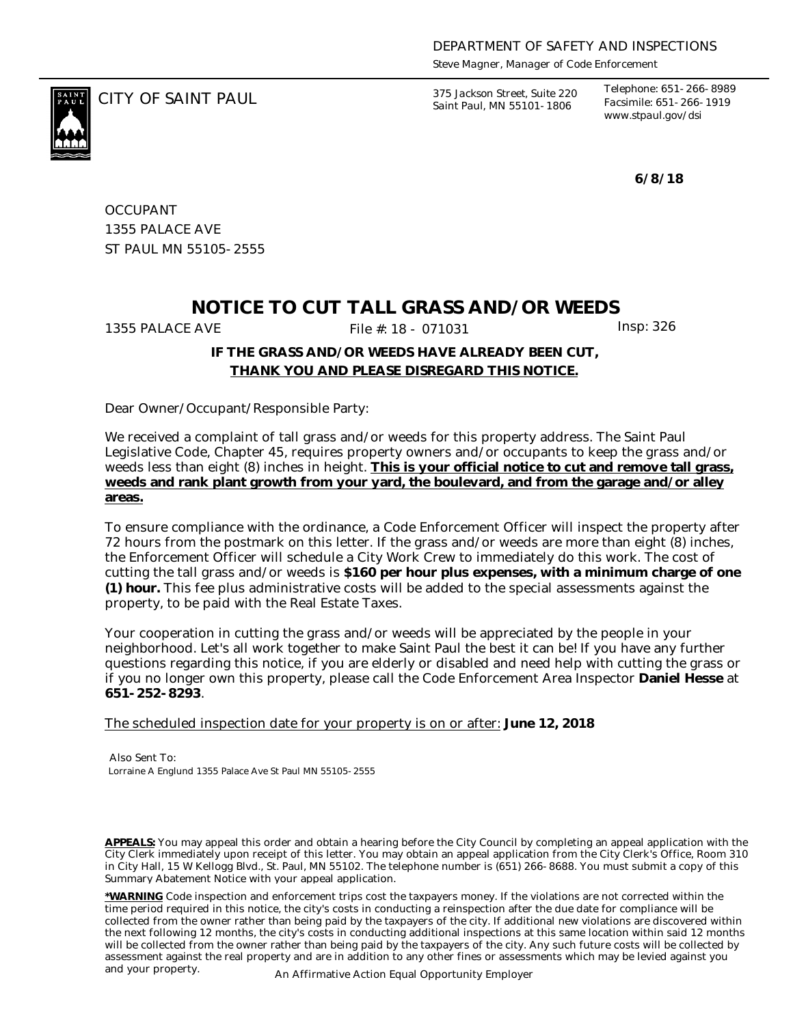*Steve Magner, Manager of Code Enforcement*

CITY OF SAINT PAUL *375 Jackson Street, Suite 220 Saint Paul, MN 55101-1806*

*Telephone: 651-266-8989 Facsimile: 651-266-1919 www.stpaul.gov/dsi*

**6/8/18**

**OCCUPANT** 1355 PALACE AVE ST PAUL MN 55105-2555

## **NOTICE TO CUT TALL GRASS AND/OR WEEDS**

1355 PALACE AVE File #: 18 - 071031 Insp: 326

## **IF THE GRASS AND/OR WEEDS HAVE ALREADY BEEN CUT, THANK YOU AND PLEASE DISREGARD THIS NOTICE.**

Dear Owner/Occupant/Responsible Party:

We received a complaint of tall grass and/or weeds for this property address. The Saint Paul Legislative Code, Chapter 45, requires property owners and/or occupants to keep the grass and/or weeds less than eight (8) inches in height. **This is your official notice to cut and remove tall grass, weeds and rank plant growth from your yard, the boulevard, and from the garage and/or alley areas.**

To ensure compliance with the ordinance, a Code Enforcement Officer will inspect the property after 72 hours from the postmark on this letter. If the grass and/or weeds are more than eight (8) inches, the Enforcement Officer will schedule a City Work Crew to immediately do this work. The cost of cutting the tall grass and/or weeds is **\$160 per hour plus expenses, with a minimum charge of one (1) hour.** This fee plus administrative costs will be added to the special assessments against the property, to be paid with the Real Estate Taxes.

Your cooperation in cutting the grass and/or weeds will be appreciated by the people in your neighborhood. Let's all work together to make Saint Paul the best it can be! If you have any further questions regarding this notice, if you are elderly or disabled and need help with cutting the grass or if you no longer own this property, please call the Code Enforcement Area Inspector **Daniel Hesse** at **651-252-8293**.

The scheduled inspection date for your property is on or after: **June 12, 2018**

Also Sent To: Lorraine A Englund 1355 Palace Ave St Paul MN 55105-2555

**APPEALS:** You may appeal this order and obtain a hearing before the City Council by completing an appeal application with the City Clerk immediately upon receipt of this letter. You may obtain an appeal application from the City Clerk's Office, Room 310 in City Hall, 15 W Kellogg Blvd., St. Paul, MN 55102. The telephone number is (651) 266-8688. You must submit a copy of this Summary Abatement Notice with your appeal application.

**\*WARNING** Code inspection and enforcement trips cost the taxpayers money. If the violations are not corrected within the time period required in this notice, the city's costs in conducting a reinspection after the due date for compliance will be collected from the owner rather than being paid by the taxpayers of the city. If additional new violations are discovered within the next following 12 months, the city's costs in conducting additional inspections at this same location within said 12 months will be collected from the owner rather than being paid by the taxpayers of the city. Any such future costs will be collected by assessment against the real property and are in addition to any other fines or assessments which may be levied against you and your property. An Affirmative Action Equal Opportunity Employer